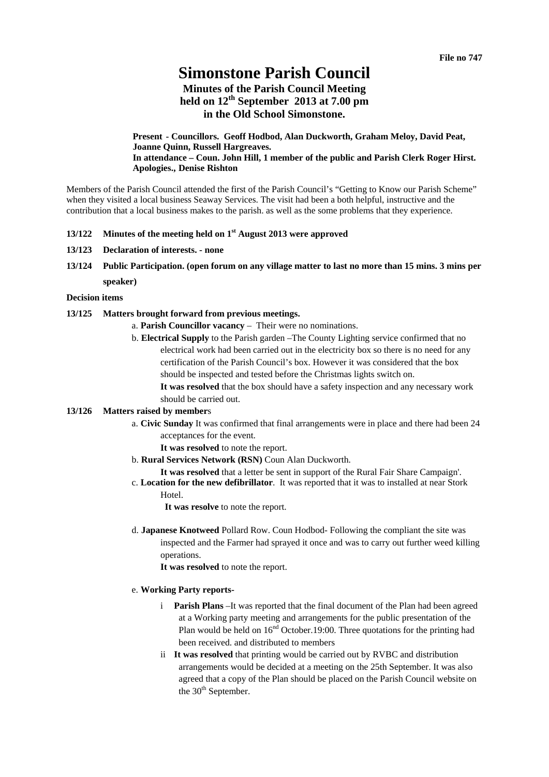# **Simonstone Parish Council**

# **Minutes of the Parish Council Meeting held on 12th September 2013 at 7.00 pm in the Old School Simonstone.**

**Present - Councillors. Geoff Hodbod, Alan Duckworth, Graham Meloy, David Peat, Joanne Quinn, Russell Hargreaves. In attendance – Coun. John Hill, 1 member of the public and Parish Clerk Roger Hirst. Apologies., Denise Rishton** 

Members of the Parish Council attended the first of the Parish Council's "Getting to Know our Parish Scheme" when they visited a local business Seaway Services. The visit had been a both helpful, instructive and the contribution that a local business makes to the parish. as well as the some problems that they experience.

# **13/122 Minutes of the meeting held on 1st August 2013 were approved**

- **13/123 Declaration of interests. none**
- **13/124 Public Participation. (open forum on any village matter to last no more than 15 mins. 3 mins per speaker)**

#### **Decision items**

#### **13/125 Matters brought forward from previous meetings.**

- a. **Parish Councillor vacancy** Their were no nominations.
- b. **Electrical Supply** to the Parish garden –The County Lighting service confirmed that no electrical work had been carried out in the electricity box so there is no need for any certification of the Parish Council's box. However it was considered that the box should be inspected and tested before the Christmas lights switch on. **It was resolved** that the box should have a safety inspection and any necessary work

should be carried out.

#### **13/126 Matters raised by member**s

a. **Civic Sunday** It was confirmed that final arrangements were in place and there had been 24 acceptances for the event.

**It was resolved** to note the report.

b. **Rural Services Network (RSN)** Coun Alan Duckworth.

**It was resolved** that a letter be sent in support of the Rural Fair Share Campaign'.

c. **Location for the new defibrillator**. It was reported that it was to installed at near Stork

Hotel.

**It was resolve** to note the report.

d. **Japanese Knotweed** Pollard Row. Coun Hodbod- Following the compliant the site was inspected and the Farmer had sprayed it once and was to carry out further weed killing operations.

**It was resolved** to note the report.

#### e. **Working Party reports-**

- i **Parish Plans** –It was reported that the final document of the Plan had been agreed at a Working party meeting and arrangements for the public presentation of the Plan would be held on  $16<sup>nd</sup>$  October.19:00. Three quotations for the printing had been received. and distributed to members
- ii **It was resolved** that printing would be carried out by RVBC and distribution arrangements would be decided at a meeting on the 25th September. It was also agreed that a copy of the Plan should be placed on the Parish Council website on the  $30<sup>th</sup>$  September.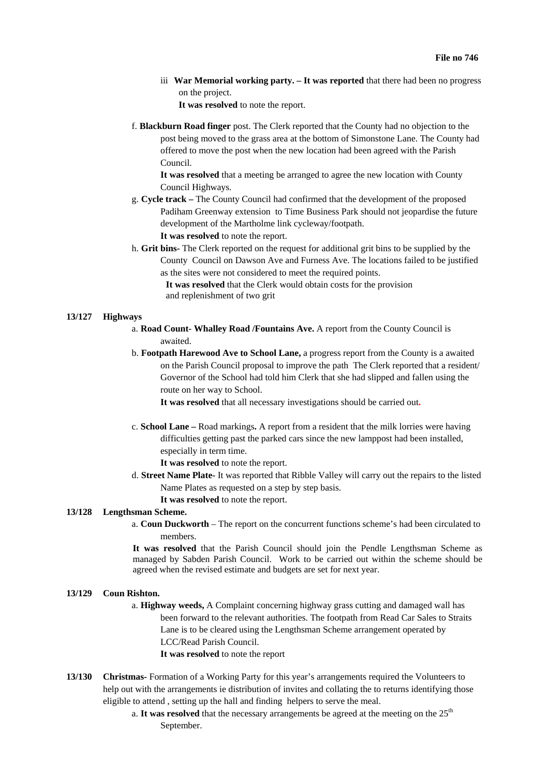iii **War Memorial working party. – It was reported** that there had been no progress on the project.

**It was resolved** to note the report.

f. **Blackburn Road finger** post. The Clerk reported that the County had no objection to the post being moved to the grass area at the bottom of Simonstone Lane. The County had offered to move the post when the new location had been agreed with the Parish Council.

**It was resolved** that a meeting be arranged to agree the new location with County Council Highways.

- g. **Cycle track** The County Council had confirmed that the development of the proposed Padiham Greenway extension to Time Business Park should not jeopardise the future development of the Martholme link cycleway/footpath. **It was resolved** to note the report.
- h. **Grit bins-** The Clerk reported on the request for additional grit bins to be supplied by the County Council on Dawson Ave and Furness Ave. The locations failed to be justified as the sites were not considered to meet the required points.

**It was resolved** that the Clerk would obtain costs for the provision and replenishment of two grit

#### **13/127 Highways**

- a. **Road Count- Whalley Road /Fountains Ave.** A report from the County Council is awaited.
- b. **Footpath Harewood Ave to School Lane,** a progress report from the County is a awaited on the Parish Council proposal to improve the path The Clerk reported that a resident/ Governor of the School had told him Clerk that she had slipped and fallen using the route on her way to School.

**It was resolved** that all necessary investigations should be carried out**.** 

c. **School Lane –** Road markings**.** A report from a resident that the milk lorries were having difficulties getting past the parked cars since the new lamppost had been installed, especially in term time.

**It was resolved** to note the report.

d. **Street Name Plate-** It was reported that Ribble Valley will carry out the repairs to the listed Name Plates as requested on a step by step basis.

**It was resolved** to note the report.

#### **13/128 Lengthsman Scheme.**

a. **Coun Duckworth** – The report on the concurrent functions scheme's had been circulated to members.

**It was resolved** that the Parish Council should join the Pendle Lengthsman Scheme as managed by Sabden Parish Council. Work to be carried out within the scheme should be agreed when the revised estimate and budgets are set for next year.

#### **13/129 Coun Rishton.**

a. **Highway weeds,** A Complaint concerning highway grass cutting and damaged wall has been forward to the relevant authorities. The footpath from Read Car Sales to Straits Lane is to be cleared using the Lengthsman Scheme arrangement operated by LCC/Read Parish Council.

**It was resolved** to note the report

- **13/130 Christmas-** Formation of a Working Party for this year's arrangements required the Volunteers to help out with the arrangements ie distribution of invites and collating the to returns identifying those eligible to attend , setting up the hall and finding helpers to serve the meal.
	- a. It was resolved that the necessary arrangements be agreed at the meeting on the 25<sup>th</sup> September.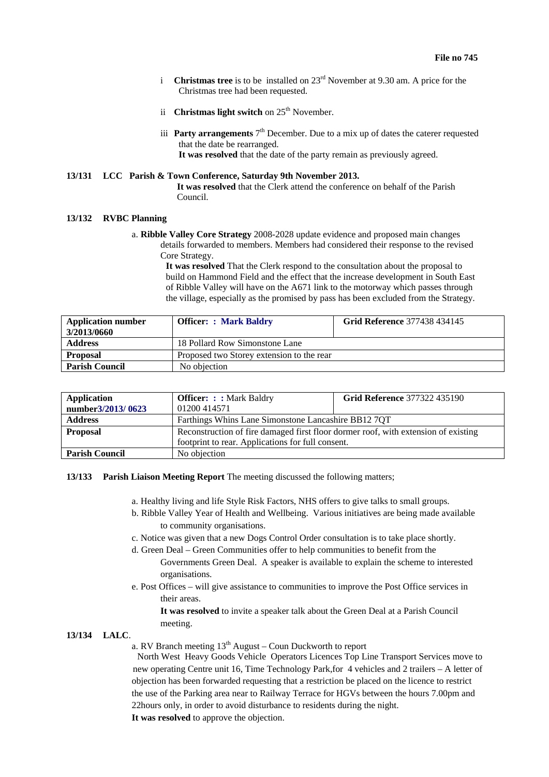- i **Christmas tree** is to be installed on 23<sup>rd</sup> November at 9.30 am. A price for the Christmas tree had been requested.
- ii **Christmas light switch** on 25<sup>th</sup> November.
- iii **Party arrangements**  $7<sup>th</sup>$  December. Due to a mix up of dates the caterer requested that the date be rearranged. **It was resolved** that the date of the party remain as previously agreed.

# **13/131 LCC Parish & Town Conference, Saturday 9th November 2013.**

**It was resolved** that the Clerk attend the conference on behalf of the Parish Council.

# **13/132 RVBC Planning**

a. **Ribble Valley Core Strategy** 2008-2028 update evidence and proposed main changes details forwarded to members. Members had considered their response to the revised Core Strategy.

> **It was resolved** That the Clerk respond to the consultation about the proposal to build on Hammond Field and the effect that the increase development in South East of Ribble Valley will have on the A671 link to the motorway which passes through the village, especially as the promised by pass has been excluded from the Strategy.

| <b>Application number</b> | <b>Officer: : Mark Baldry</b>             | <b>Grid Reference 377438 434145</b> |
|---------------------------|-------------------------------------------|-------------------------------------|
| 3/2013/0660               |                                           |                                     |
| <b>Address</b>            | 18 Pollard Row Simonstone Lane            |                                     |
| <b>Proposal</b>           | Proposed two Storey extension to the rear |                                     |
| <b>Parish Council</b>     | No objection                              |                                     |

| <b>Application</b>    | <b>Officer:</b> :: Mark Baldry                                                     | <b>Grid Reference 377322 435190</b> |  |
|-----------------------|------------------------------------------------------------------------------------|-------------------------------------|--|
| number3/2013/0623     | 01200 414571                                                                       |                                     |  |
| <b>Address</b>        | Farthings Whins Lane Simonstone Lancashire BB12 7QT                                |                                     |  |
| <b>Proposal</b>       | Reconstruction of fire damaged first floor dormer roof, with extension of existing |                                     |  |
|                       | footprint to rear. Applications for full consent.                                  |                                     |  |
| <b>Parish Council</b> | No objection                                                                       |                                     |  |

# **13/133 Parish Liaison Meeting Report** The meeting discussed the following matters;

- a. Healthy living and life Style Risk Factors, NHS offers to give talks to small groups.
- b. Ribble Valley Year of Health and Wellbeing. Various initiatives are being made available to community organisations.
- c. Notice was given that a new Dogs Control Order consultation is to take place shortly.
- d. Green Deal Green Communities offer to help communities to benefit from the Governments Green Deal. A speaker is available to explain the scheme to interested organisations.
- e. Post Offices will give assistance to communities to improve the Post Office services in their areas.

**It was resolved** to invite a speaker talk about the Green Deal at a Parish Council meeting.

## **13/134 LALC**.

a. RV Branch meeting  $13<sup>th</sup>$  August – Coun Duckworth to report

North West Heavy Goods Vehicle Operators Licences Top Line Transport Services move to new operating Centre unit 16, Time Technology Park,for 4 vehicles and 2 trailers – A letter of objection has been forwarded requesting that a restriction be placed on the licence to restrict the use of the Parking area near to Railway Terrace for HGVs between the hours 7.00pm and 22hours only, in order to avoid disturbance to residents during the night.

**It was resolved** to approve the objection.